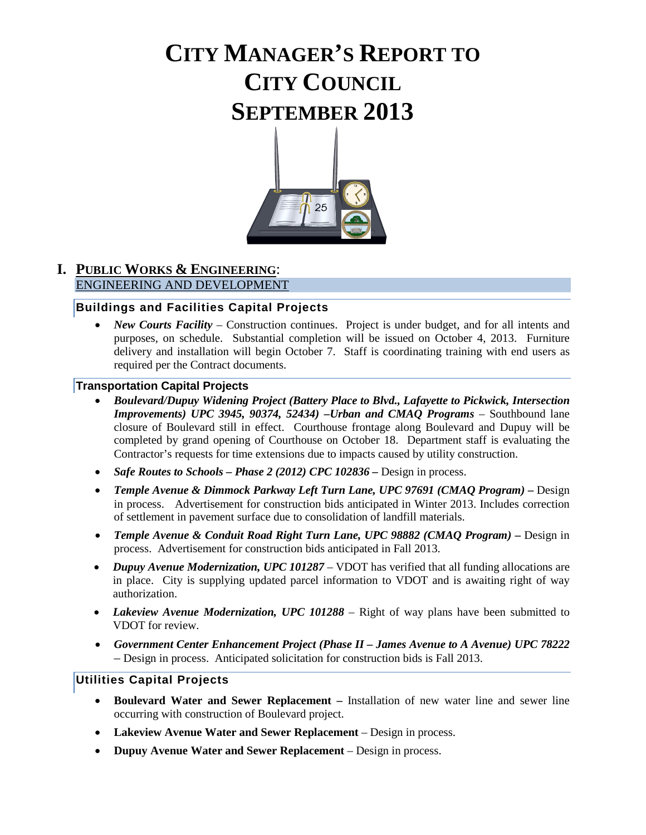# **CITY MANAGER'S REPORT TO CITY COUNCIL SEPTEMBER 2013**



#### **I. PUBLIC WORKS & ENGINEERING**: ENGINEERING AND DEVELOPMENT

#### **Buildings and Facilities Capital Projects**

• *New Courts Facility* – Construction continues. Project is under budget, and for all intents and purposes, on schedule. Substantial completion will be issued on October 4, 2013. Furniture delivery and installation will begin October 7. Staff is coordinating training with end users as required per the Contract documents.

#### **Transportation Capital Projects**

- *Boulevard/Dupuy Widening Project (Battery Place to Blvd., Lafayette to Pickwick, Intersection Improvements) UPC 3945, 90374, 52434) –Urban and CMAQ Programs* – Southbound lane closure of Boulevard still in effect. Courthouse frontage along Boulevard and Dupuy will be completed by grand opening of Courthouse on October 18. Department staff is evaluating the Contractor's requests for time extensions due to impacts caused by utility construction.
- *Safe Routes to Schools Phase 2 (2012) CPC 102836 Design in process.*
- *Temple Avenue & Dimmock Parkway Left Turn Lane, UPC 97691 (CMAQ Program) –* Design in process. Advertisement for construction bids anticipated in Winter 2013. Includes correction of settlement in pavement surface due to consolidation of landfill materials.
- *Temple Avenue & Conduit Road Right Turn Lane, UPC 98882 (CMAQ Program) –* Design in process. Advertisement for construction bids anticipated in Fall 2013.
- *Dupuy Avenue Modernization, UPC 101287*  VDOT has verified that all funding allocations are in place. City is supplying updated parcel information to VDOT and is awaiting right of way authorization.
- *Lakeview Avenue Modernization, UPC 101288* Right of way plans have been submitted to VDOT for review.
- *Government Center Enhancement Project (Phase II – James Avenue to A Avenue) UPC 78222 –* Design in process. Anticipated solicitation for construction bids is Fall 2013.

#### **Utilities Capital Projects**

- **Boulevard Water and Sewer Replacement –** Installation of new water line and sewer line occurring with construction of Boulevard project.
- **Lakeview Avenue Water and Sewer Replacement**  Design in process.
- **Dupuy Avenue Water and Sewer Replacement**  Design in process.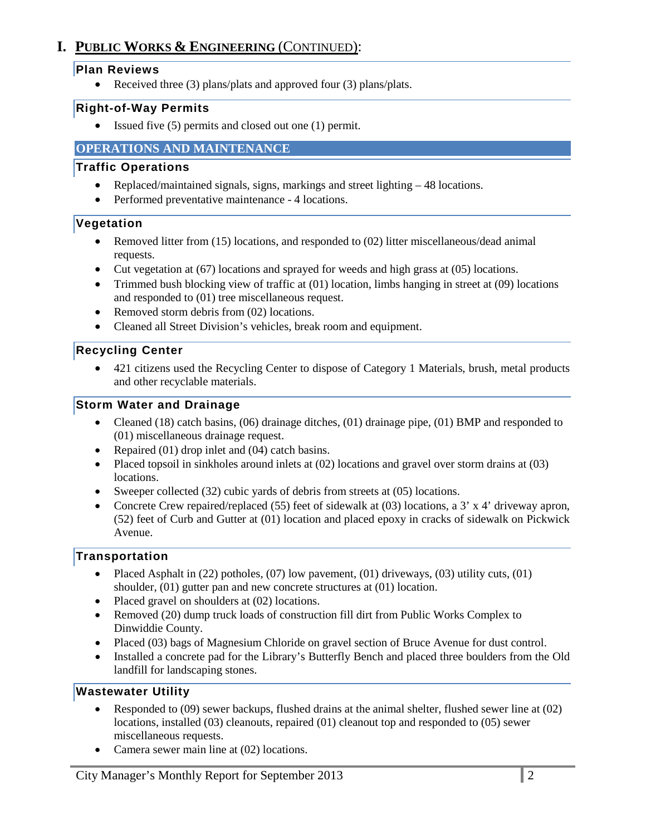# **I. PUBLIC WORKS & ENGINEERING** (CONTINUED):

#### **Plan Reviews**

• Received three (3) plans/plats and approved four (3) plans/plats.

#### **Right-of-Way Permits**

• Issued five (5) permits and closed out one (1) permit.

## **OPERATIONS AND MAINTENANCE**

#### **Traffic Operations**

- Replaced/maintained signals, signs, markings and street lighting 48 locations.
- Performed preventative maintenance 4 locations.

#### **Vegetation**

- Removed litter from (15) locations, and responded to (02) litter miscellaneous/dead animal requests.
- Cut vegetation at (67) locations and sprayed for weeds and high grass at (05) locations.
- Trimmed bush blocking view of traffic at (01) location, limbs hanging in street at (09) locations and responded to (01) tree miscellaneous request.
- Removed storm debris from (02) locations.
- Cleaned all Street Division's vehicles, break room and equipment.

## **Recycling Center**

• 421 citizens used the Recycling Center to dispose of Category 1 Materials, brush, metal products and other recyclable materials.

## **Storm Water and Drainage**

- Cleaned (18) catch basins, (06) drainage ditches, (01) drainage pipe, (01) BMP and responded to (01) miscellaneous drainage request.
- Repaired (01) drop inlet and (04) catch basins.
- Placed topsoil in sinkholes around inlets at (02) locations and gravel over storm drains at (03) locations.
- Sweeper collected (32) cubic yards of debris from streets at (05) locations.
- Concrete Crew repaired/replaced (55) feet of sidewalk at (03) locations, a 3' x 4' driveway apron, (52) feet of Curb and Gutter at (01) location and placed epoxy in cracks of sidewalk on Pickwick Avenue.

## **Transportation**

- Placed Asphalt in  $(22)$  potholes,  $(07)$  low pavement,  $(01)$  driveways,  $(03)$  utility cuts,  $(01)$ shoulder, (01) gutter pan and new concrete structures at (01) location.
- Placed gravel on shoulders at (02) locations.
- Removed (20) dump truck loads of construction fill dirt from Public Works Complex to Dinwiddie County.
- Placed (03) bags of Magnesium Chloride on gravel section of Bruce Avenue for dust control.
- Installed a concrete pad for the Library's Butterfly Bench and placed three boulders from the Old landfill for landscaping stones.

## **Wastewater Utility**

- Responded to (09) sewer backups, flushed drains at the animal shelter, flushed sewer line at (02) locations, installed (03) cleanouts, repaired (01) cleanout top and responded to (05) sewer miscellaneous requests.
- Camera sewer main line at (02) locations.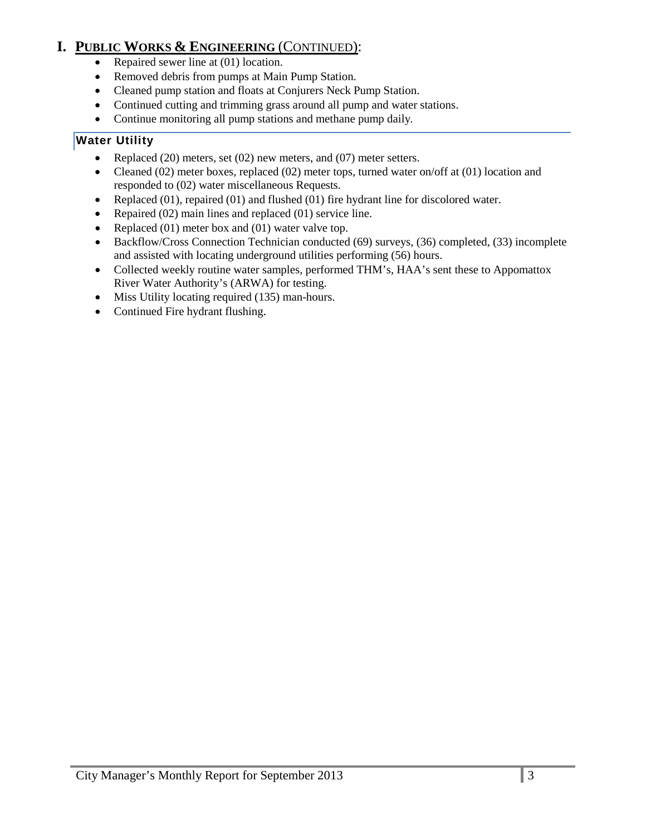# **I. PUBLIC WORKS & ENGINEERING** (CONTINUED):

- Repaired sewer line at (01) location.
- Removed debris from pumps at Main Pump Station.
- Cleaned pump station and floats at Conjurers Neck Pump Station.
- Continued cutting and trimming grass around all pump and water stations.
- Continue monitoring all pump stations and methane pump daily*.*

# **Water Utility**

- Replaced (20) meters, set (02) new meters, and (07) meter setters.
- Cleaned (02) meter boxes, replaced (02) meter tops, turned water on/off at (01) location and responded to (02) water miscellaneous Requests.
- Replaced  $(01)$ , repaired  $(01)$  and flushed  $(01)$  fire hydrant line for discolored water.
- Repaired (02) main lines and replaced (01) service line.
- Replaced (01) meter box and (01) water valve top.
- Backflow/Cross Connection Technician conducted (69) surveys, (36) completed, (33) incomplete and assisted with locating underground utilities performing (56) hours.
- Collected weekly routine water samples, performed THM's, HAA's sent these to Appomattox River Water Authority's (ARWA) for testing.
- Miss Utility locating required (135) man-hours.
- Continued Fire hydrant flushing.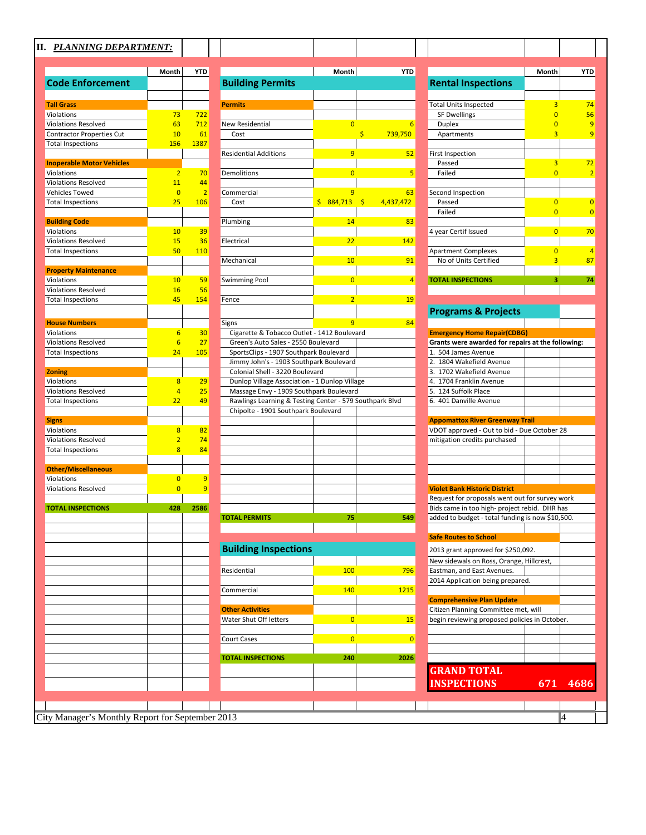# **II.** *PLANNING DEPARTMENT:*

|                                                | Month                            | <b>YTD</b>     |
|------------------------------------------------|----------------------------------|----------------|
| <b>Code Enforcement</b>                        |                                  |                |
|                                                |                                  |                |
| <b>Tall Grass</b>                              |                                  |                |
| Violations                                     | 73                               | 722            |
| <b>Violations Resolved</b>                     | 63                               | 712            |
| Contractor Properties Cut                      | 10                               | 61             |
| <b>Total Inspections</b>                       | 156                              | 1387           |
|                                                |                                  |                |
| <b>Inoperable Motor Vehicles</b><br>Violations | $\overline{2}$                   | 70             |
| <b>Violations Resolved</b>                     | 11                               | 44             |
| Vehicles Towed                                 | $\overline{0}$                   | $\overline{2}$ |
| <b>Total Inspections</b>                       | 25                               | 106            |
|                                                |                                  |                |
| <b>Building Code</b>                           |                                  |                |
| Violations                                     | 10                               | 39             |
| <b>Violations Resolved</b>                     | 15                               | 36             |
| <b>Total Inspections</b>                       | 50                               | 110            |
| <b>Property Maintenance</b>                    |                                  |                |
| Violations                                     | 10                               | 59             |
| <b>Violations Resolved</b>                     | 16                               | 56             |
| <b>Total Inspections</b>                       | 45                               | 154            |
|                                                |                                  |                |
| <b>House Numbers</b>                           |                                  |                |
| Violations                                     | 6                                | 30             |
| <b>Violations Resolved</b>                     | 6                                | 27             |
| <b>Total Inspections</b>                       | 24                               | 105            |
|                                                |                                  |                |
| <b>Zoning</b>                                  |                                  |                |
| Violations                                     | 8                                | 29             |
| <b>Violations Resolved</b>                     | 4<br>22                          | 25<br>49       |
| <b>Total Inspections</b>                       |                                  |                |
| <b>Signs</b>                                   |                                  |                |
| Violations                                     | 8                                | 82             |
| <b>Violations Resolved</b>                     | $\overline{2}$                   | 74             |
| <b>Total Inspections</b>                       | 8                                | 84             |
|                                                |                                  |                |
| <b>Other/Miscellaneous</b>                     |                                  |                |
| Violations<br><b>Violations Resolved</b>       | $\overline{0}$<br>$\overline{0}$ | 9<br>9         |
|                                                |                                  |                |
| <b>TOTAL INSPECTIONS</b>                       | 428                              | 2586           |
|                                                |                                  |                |
|                                                |                                  |                |
|                                                |                                  |                |
|                                                |                                  |                |
|                                                |                                  |                |
|                                                |                                  |                |
|                                                |                                  |                |
|                                                |                                  |                |
|                                                |                                  |                |
|                                                |                                  |                |
|                                                |                                  |                |
|                                                |                                  |                |
|                                                |                                  |                |
|                                                |                                  |                |
|                                                |                                  |                |
|                                                |                                  |                |
|                                                |                                  |                |
|                                                |                                  |                |
|                                                |                                  |                |

| <b>PLANNING DEPARTMENT:</b>      |                |                |                                                                            |                |                |                                                                                                 |                     |                         |
|----------------------------------|----------------|----------------|----------------------------------------------------------------------------|----------------|----------------|-------------------------------------------------------------------------------------------------|---------------------|-------------------------|
|                                  | Month          | <b>YTD</b>     |                                                                            | Month          | <b>YTD</b>     |                                                                                                 | Month               | <b>YTE</b>              |
| <b>Code Enforcement</b>          |                |                | <b>Building Permits</b>                                                    |                |                | <b>Rental Inspections</b>                                                                       |                     |                         |
| <b>Tall Grass</b>                |                |                |                                                                            |                |                | <b>Total Units Inspected</b>                                                                    |                     |                         |
| Violations                       | 73             | 722            | <b>Permits</b>                                                             |                |                | <b>SF Dwellings</b>                                                                             | 3<br>$\overline{0}$ | 74<br>56                |
| <b>Violations Resolved</b>       | 63             | 712            | <b>New Residential</b>                                                     | $\Omega$       |                | <b>Duplex</b>                                                                                   | O                   |                         |
| Contractor Properties Cut        | 10             | 61             | Cost                                                                       | \$.            | 739,750        | Apartments                                                                                      | 3                   |                         |
| <b>Total Inspections</b>         | <b>156</b>     | 1387           |                                                                            |                |                |                                                                                                 |                     |                         |
|                                  |                |                | <b>Residential Additions</b>                                               | 9              | 52             | <b>First Inspection</b>                                                                         |                     |                         |
| <b>Inoperable Motor Vehicles</b> |                |                |                                                                            |                |                | Passed                                                                                          | 3                   | 72                      |
| Violations                       | $\overline{2}$ | 70             | Demolitions                                                                | $\overline{0}$ | 5              | Failed                                                                                          | $\overline{0}$      | Ž                       |
| <b>Violations Resolved</b>       | 11             | 44             |                                                                            |                |                |                                                                                                 |                     |                         |
| Vehicles Towed                   | $\overline{0}$ | $\overline{2}$ | Commercial                                                                 | 9              | 63             | Second Inspection                                                                               |                     |                         |
| <b>Total Inspections</b>         | 25             | <b>106</b>     | Cost                                                                       | \$884,713      | 4,437,472      | Passed                                                                                          | $\overline{0}$      | $\overline{C}$          |
|                                  |                |                |                                                                            |                |                | Failed                                                                                          | $\overline{0}$      | $\overline{\mathbf{C}}$ |
| <b>Building Code</b>             |                |                | Plumbing                                                                   | 14             | 83             |                                                                                                 |                     |                         |
| Violations                       | 10             | 39             |                                                                            |                |                | 4 year Certif Issued                                                                            | $\overline{0}$      | 7 <sup>o</sup>          |
| <b>Violations Resolved</b>       | 15             | 36             | Electrical                                                                 | 22             | 142            |                                                                                                 |                     |                         |
| <b>Total Inspections</b>         | 50             | <b>110</b>     |                                                                            |                |                | <b>Apartment Complexes</b>                                                                      | $\overline{0}$      | $\overline{\mathbf{r}}$ |
|                                  |                |                | Mechanical                                                                 | 10             | 91             | No of Units Certified                                                                           | 3                   | 87                      |
| <b>Property Maintenance</b>      |                |                |                                                                            |                |                |                                                                                                 |                     |                         |
| Violations                       | 10             | 59             | <b>Swimming Pool</b>                                                       | $\overline{0}$ | $\overline{4}$ | <b>TOTAL INSPECTIONS</b>                                                                        | з                   | 74                      |
| <b>Violations Resolved</b>       | <b>16</b>      | 56             |                                                                            |                |                |                                                                                                 |                     |                         |
| <b>Total Inspections</b>         | 45             | 154            | Fence                                                                      | $\overline{2}$ | <b>19</b>      |                                                                                                 |                     |                         |
|                                  |                |                |                                                                            |                |                | <b>Programs &amp; Projects</b>                                                                  |                     |                         |
| <b>House Numbers</b>             |                |                | Signs                                                                      | 9              | 84             |                                                                                                 |                     |                         |
| Violations                       | 6              | 30             | Cigarette & Tobacco Outlet - 1412 Boulevard                                |                |                | <b>Emergency Home Repair(CDBG)</b>                                                              |                     |                         |
| <b>Violations Resolved</b>       | 6              | 27             | Green's Auto Sales - 2550 Boulevard                                        |                |                | Grants were awarded for repairs at the following:                                               |                     |                         |
| <b>Total Inspections</b>         | 24             | <b>105</b>     | SportsClips - 1907 Southpark Boulevard                                     |                |                | 1. 504 James Avenue                                                                             |                     |                         |
| <b>Zoning</b>                    |                |                | Jimmy John's - 1903 Southpark Boulevard<br>Colonial Shell - 3220 Boulevard |                |                | 2. 1804 Wakefield Avenue<br>3. 1702 Wakefield Avenue                                            |                     |                         |
| Violations                       | 8              | 29             | Dunlop Village Association - 1 Dunlop Village                              |                |                | 4. 1704 Franklin Avenue                                                                         |                     |                         |
| <b>Violations Resolved</b>       | $\overline{4}$ | 25             | Massage Envy - 1909 Southpark Boulevard                                    |                |                | 5. 124 Suffolk Place                                                                            |                     |                         |
| <b>Total Inspections</b>         | 22             | 49             | Rawlings Learning & Testing Center - 579 Southpark Blvd                    |                |                | 6. 401 Danville Avenue                                                                          |                     |                         |
|                                  |                |                | Chipolte - 1901 Southpark Boulevard                                        |                |                |                                                                                                 |                     |                         |
| Signs                            |                |                |                                                                            |                |                | <b>Appomattox River Greenway Trail</b>                                                          |                     |                         |
| Violations                       | 8              | 82             |                                                                            |                |                | VDOT approved - Out to bid - Due October 28                                                     |                     |                         |
| <b>Violations Resolved</b>       | $\overline{2}$ | 74             |                                                                            |                |                | mitigation credits purchased                                                                    |                     |                         |
| <b>Total Inspections</b>         | $\overline{8}$ | 84             |                                                                            |                |                |                                                                                                 |                     |                         |
|                                  |                |                |                                                                            |                |                |                                                                                                 |                     |                         |
| <b>Other/Miscellaneous</b>       |                |                |                                                                            |                |                |                                                                                                 |                     |                         |
| Violations                       | $\overline{0}$ | 9              |                                                                            |                |                |                                                                                                 |                     |                         |
| <b>Violations Resolved</b>       | $\overline{0}$ | 9              |                                                                            |                |                | <b>Violet Bank Historic District</b>                                                            |                     |                         |
| <b>TOTAL INSPECTIONS</b>         | 428            | 2586           |                                                                            |                |                | Request for proposals went out for survey work<br>Bids came in too high- project rebid. DHR has |                     |                         |
|                                  |                |                | <b>TOTAL PERMITS</b>                                                       | 75             | 549            | added to budget - total funding is now \$10,500.                                                |                     |                         |
|                                  |                |                |                                                                            |                |                |                                                                                                 |                     |                         |
|                                  |                |                |                                                                            |                |                | <b>Safe Routes to School</b>                                                                    |                     |                         |
|                                  |                |                | <b>Building Inspections</b>                                                |                |                |                                                                                                 |                     |                         |
|                                  |                |                |                                                                            |                |                | 2013 grant approved for \$250,092.                                                              |                     |                         |
|                                  |                |                | Residential                                                                | 100            |                | New sidewals on Ross, Orange, Hillcrest,<br>Eastman, and East Avenues.                          |                     |                         |
|                                  |                |                |                                                                            |                | 796            | 2014 Application being prepared.                                                                |                     |                         |
|                                  |                |                | Commercial                                                                 | 140            | 1215           |                                                                                                 |                     |                         |
|                                  |                |                |                                                                            |                |                | <b>Comprehensive Plan Update</b>                                                                |                     |                         |
|                                  |                |                | <b>Other Activities</b>                                                    |                |                | Citizen Planning Committee met, will                                                            |                     |                         |
|                                  |                |                | Water Shut Off letters                                                     | $\overline{0}$ | <b>15</b>      | begin reviewing proposed policies in October.                                                   |                     |                         |
|                                  |                |                |                                                                            |                |                |                                                                                                 |                     |                         |
|                                  |                |                | Court Cases                                                                | $\overline{0}$ | $\overline{0}$ |                                                                                                 |                     |                         |
|                                  |                |                |                                                                            |                |                |                                                                                                 |                     |                         |
|                                  |                |                | <b>TOTAL INSPECTIONS</b>                                                   | 240            | 2026           |                                                                                                 |                     |                         |
|                                  |                |                |                                                                            |                |                | <b>GRAND TOTAL</b>                                                                              |                     |                         |
|                                  |                |                |                                                                            |                |                | <b>INSPECTIONS</b>                                                                              | 671                 | 4686                    |
|                                  |                |                |                                                                            |                |                |                                                                                                 |                     |                         |
|                                  |                |                |                                                                            |                |                |                                                                                                 |                     |                         |

City Manager's Monthly Report for September 2013 4

|                                                                                                 | Month          | YTD      |
|-------------------------------------------------------------------------------------------------|----------------|----------|
| <b>Rental Inspections</b>                                                                       |                |          |
| Total Units Inspected                                                                           | 3              | 74       |
| <b>SF Dwellings</b>                                                                             | $\overline{0}$ | 56       |
| Duplex                                                                                          | $\overline{0}$ | 9        |
| Apartments                                                                                      | 3              | 9        |
| <b>First Inspection</b>                                                                         |                |          |
| Passed                                                                                          | 3              | 72       |
| Failed                                                                                          | $\overline{0}$ | 2        |
| Second Inspection                                                                               |                |          |
| Passed                                                                                          | 0              | 0        |
| Failed                                                                                          | $\overline{0}$ | 0        |
| 4 year Certif Issued                                                                            | 0              | 70       |
|                                                                                                 |                |          |
| <b>Apartment Complexes</b>                                                                      | 0              | 4        |
| No of Units Certified                                                                           | 3              | 87       |
| <b>TOTAL INSPECTIONS</b>                                                                        | 3              | 74       |
|                                                                                                 |                |          |
|                                                                                                 |                |          |
| <b>Programs &amp; Projects</b>                                                                  |                |          |
| <b>Emergency Home Repair(CDBG)</b>                                                              |                |          |
| Grants were awarded for repairs at the following:                                               |                |          |
| 1. 504 James Avenue                                                                             |                |          |
| 2.<br>1804 Wakefield Avenue                                                                     |                |          |
| 3. 1702 Wakefield Avenue<br>4. 1704 Franklin Avenue                                             |                |          |
| 5. 124 Suffolk Place                                                                            |                |          |
| 6.<br>401 Danville Avenue                                                                       |                |          |
| <b>Appomattox River Greenway Trail</b>                                                          |                |          |
| VDOT approved - Out to bid - Due October 28                                                     |                |          |
| mitigation credits purchased                                                                    |                |          |
|                                                                                                 |                |          |
|                                                                                                 |                |          |
|                                                                                                 |                |          |
| <b>Violet Bank Historic District</b>                                                            |                |          |
| Request for proposals went out for survey work<br>Bids came in too high- project rebid. DHR has |                |          |
| added to budget - total funding is now \$10,500.                                                |                |          |
| <b>Safe Routes to School</b>                                                                    |                |          |
| 2013 grant approved for \$250,092.                                                              |                |          |
| New sidewals on Ross, Orange, Hillcrest,                                                        |                |          |
| Eastman, and East Avenues.                                                                      |                |          |
| 2014 Application being prepared.                                                                |                |          |
| <b>Comprehensive Plan Update</b>                                                                |                |          |
| Citizen Planning Committee met, will                                                            |                |          |
| begin reviewing proposed policies in October.                                                   |                |          |
|                                                                                                 |                |          |
|                                                                                                 |                |          |
|                                                                                                 |                |          |
| <b>GRAND TOTAL</b><br><b>INSPECTIONS</b>                                                        |                | 671 4686 |
|                                                                                                 |                |          |
|                                                                                                 |                |          |
|                                                                                                 |                |          |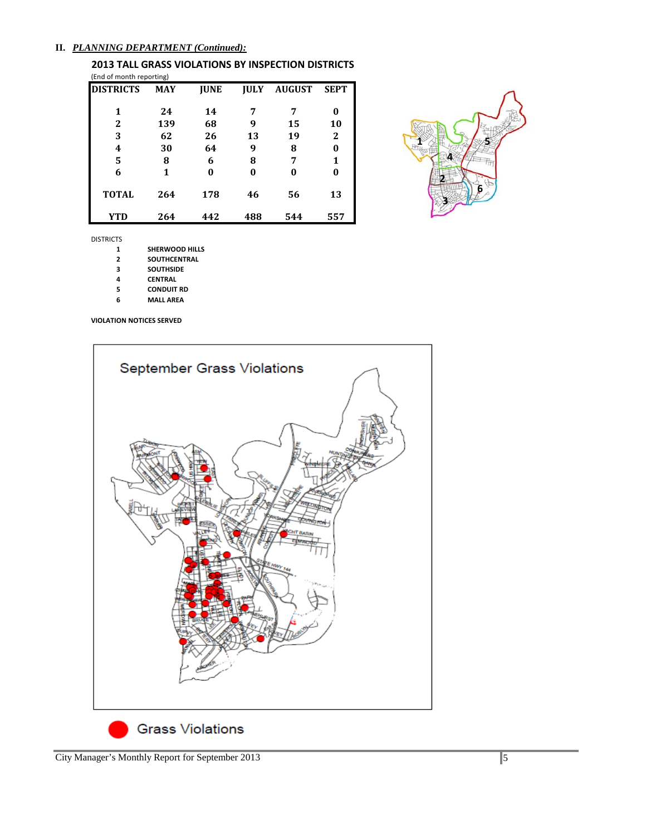#### **II.** *PLANNING DEPARTMENT (Continued):*

**2013 TALL GRASS VIOLATIONS BY INSPECTION DISTRICTS** (End of month reporting)

| <b>DISTRICTS</b> | <b>MAY</b> | <b>IUNE</b> | <b>IULY</b> | <b>AUGUST</b> | <b>SEPT</b>  |
|------------------|------------|-------------|-------------|---------------|--------------|
| 1                | 24         | 14          |             | 7             | 0            |
| 2                | 139        | 68          | 9           | 15            | 10           |
| 3                | 62         | 26          | 13          | 19            | $\mathbf{2}$ |
| 4                | 30         | 64          | 9           | 8             | 0            |
| 5                | 8          | 6           | 8           | 7             | 1            |
| 6                | 1          | 0           | 0           | 0             | 0            |
| <b>TOTAL</b>     | 264        | 178         | 46          | 56            | 13           |
| <b>YTD</b>       | 264        | 442         | 488         | 544           | 557          |



DISTRICTS

- **SHERWOOD HILLS**
- **SOUTHCENTRAL**
- **SOUTHSIDE**
- **CENTRAL**
- **CONDUIT RD**
- **MALL AREA**

**VIOLATION NOTICES SERVED**

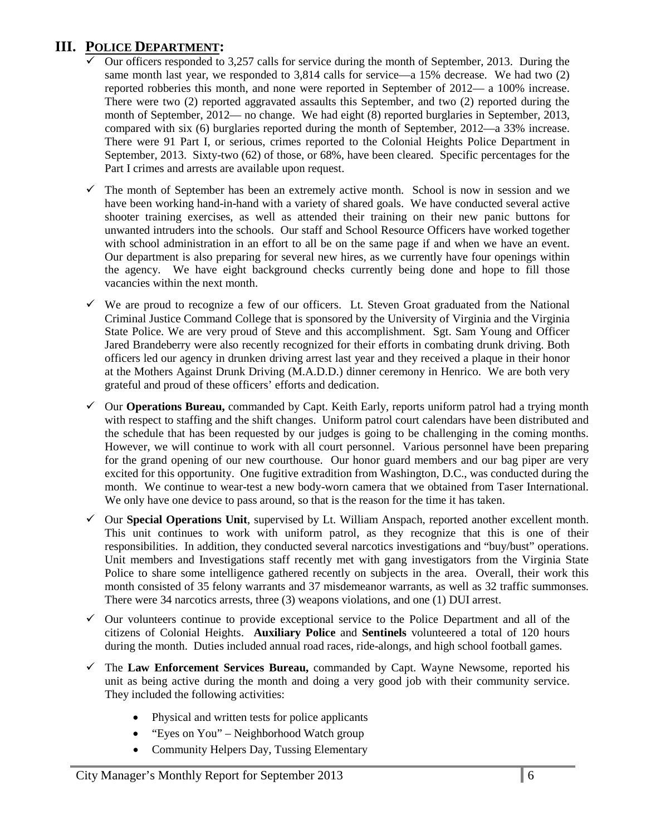# **III. POLICE DEPARTMENT:**

- Our officers responded to 3,257 calls for service during the month of September, 2013. During the same month last year, we responded to 3,814 calls for service—a 15% decrease. We had two (2) reported robberies this month, and none were reported in September of 2012— a 100% increase. There were two (2) reported aggravated assaults this September, and two (2) reported during the month of September, 2012— no change. We had eight (8) reported burglaries in September, 2013, compared with six (6) burglaries reported during the month of September, 2012—a 33% increase. There were 91 Part I, or serious, crimes reported to the Colonial Heights Police Department in September, 2013. Sixty-two (62) of those, or 68%, have been cleared. Specific percentages for the Part I crimes and arrests are available upon request.
- $\checkmark$  The month of September has been an extremely active month. School is now in session and we have been working hand-in-hand with a variety of shared goals. We have conducted several active shooter training exercises, as well as attended their training on their new panic buttons for unwanted intruders into the schools. Our staff and School Resource Officers have worked together with school administration in an effort to all be on the same page if and when we have an event. Our department is also preparing for several new hires, as we currently have four openings within the agency. We have eight background checks currently being done and hope to fill those vacancies within the next month.
- $\checkmark$  We are proud to recognize a few of our officers. Lt. Steven Groat graduated from the National Criminal Justice Command College that is sponsored by the University of Virginia and the Virginia State Police. We are very proud of Steve and this accomplishment. Sgt. Sam Young and Officer Jared Brandeberry were also recently recognized for their efforts in combating drunk driving. Both officers led our agency in drunken driving arrest last year and they received a plaque in their honor at the Mothers Against Drunk Driving (M.A.D.D.) dinner ceremony in Henrico. We are both very grateful and proud of these officers' efforts and dedication.
- Our **Operations Bureau,** commanded by Capt. Keith Early, reports uniform patrol had a trying month with respect to staffing and the shift changes. Uniform patrol court calendars have been distributed and the schedule that has been requested by our judges is going to be challenging in the coming months. However, we will continue to work with all court personnel. Various personnel have been preparing for the grand opening of our new courthouse. Our honor guard members and our bag piper are very excited for this opportunity. One fugitive extradition from Washington, D.C., was conducted during the month. We continue to wear-test a new body-worn camera that we obtained from Taser International. We only have one device to pass around, so that is the reason for the time it has taken.
- $\checkmark$  Our **Special Operations Unit**, supervised by Lt. William Anspach, reported another excellent month. This unit continues to work with uniform patrol, as they recognize that this is one of their responsibilities. In addition, they conducted several narcotics investigations and "buy/bust" operations. Unit members and Investigations staff recently met with gang investigators from the Virginia State Police to share some intelligence gathered recently on subjects in the area. Overall, their work this month consisted of 35 felony warrants and 37 misdemeanor warrants, as well as 32 traffic summonses. There were 34 narcotics arrests, three (3) weapons violations, and one (1) DUI arrest.
- $\checkmark$  Our volunteers continue to provide exceptional service to the Police Department and all of the citizens of Colonial Heights. **Auxiliary Police** and **Sentinels** volunteered a total of 120 hours during the month. Duties included annual road races, ride-alongs, and high school football games.
- The **Law Enforcement Services Bureau,** commanded by Capt. Wayne Newsome, reported his unit as being active during the month and doing a very good job with their community service. They included the following activities:
	- Physical and written tests for police applicants
	- "Eyes on You" Neighborhood Watch group
	- Community Helpers Day, Tussing Elementary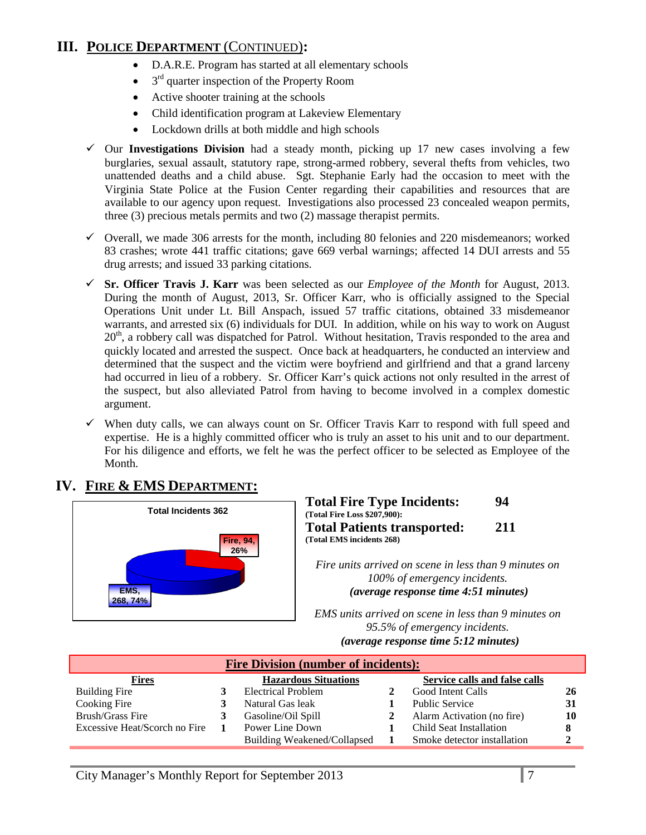# **III. POLICE DEPARTMENT** (CONTINUED)**:**

- D.A.R.E. Program has started at all elementary schools
- $\bullet$  3<sup>rd</sup> quarter inspection of the Property Room
- Active shooter training at the schools
- Child identification program at Lakeview Elementary
- Lockdown drills at both middle and high schools
- Our **Investigations Division** had a steady month, picking up 17 new cases involving a few burglaries, sexual assault, statutory rape, strong-armed robbery, several thefts from vehicles, two unattended deaths and a child abuse. Sgt. Stephanie Early had the occasion to meet with the Virginia State Police at the Fusion Center regarding their capabilities and resources that are available to our agency upon request. Investigations also processed 23 concealed weapon permits, three (3) precious metals permits and two (2) massage therapist permits.
- $\checkmark$  Overall, we made 306 arrests for the month, including 80 felonies and 220 misdemeanors; worked 83 crashes; wrote 441 traffic citations; gave 669 verbal warnings; affected 14 DUI arrests and 55 drug arrests; and issued 33 parking citations.
- **Sr. Officer Travis J. Karr** was been selected as our *Employee of the Month* for August, 2013. During the month of August, 2013, Sr. Officer Karr, who is officially assigned to the Special Operations Unit under Lt. Bill Anspach, issued 57 traffic citations, obtained 33 misdemeanor warrants, and arrested six (6) individuals for DUI. In addition, while on his way to work on August  $20<sup>th</sup>$ , a robbery call was dispatched for Patrol. Without hesitation, Travis responded to the area and quickly located and arrested the suspect. Once back at headquarters, he conducted an interview and determined that the suspect and the victim were boyfriend and girlfriend and that a grand larceny had occurred in lieu of a robbery. Sr. Officer Karr's quick actions not only resulted in the arrest of the suspect, but also alleviated Patrol from having to become involved in a complex domestic argument.
- $\checkmark$  When duty calls, we can always count on Sr. Officer Travis Karr to respond with full speed and expertise. He is a highly committed officer who is truly an asset to his unit and to our department. For his diligence and efforts, we felt he was the perfect officer to be selected as Employee of the Month.

# **IV. FIRE & EMS DEPARTMENT:**



| <b>Total Fire Type Incidents:</b>                                  | 94  |
|--------------------------------------------------------------------|-----|
| (Total Fire Loss \$207,900):<br><b>Total Patients transported:</b> | 211 |
| (Total EMS incidents 268)                                          |     |

*Fire units arrived on scene in less than 9 minutes on 100% of emergency incidents. (average response time 4:51 minutes)*

*EMS units arrived on scene in less than 9 minutes on 95.5% of emergency incidents. U(average response time 5:12 minutes)*

| <b>Fire Division (number of incidents):</b> |  |                                    |  |                               |  |
|---------------------------------------------|--|------------------------------------|--|-------------------------------|--|
| <b>Fires</b>                                |  | <b>Hazardous Situations</b>        |  | Service calls and false calls |  |
| Building Fire                               |  | Electrical Problem                 |  | Good Intent Calls             |  |
| Cooking Fire                                |  | Natural Gas leak                   |  | <b>Public Service</b>         |  |
| <b>Brush/Grass Fire</b>                     |  | Gasoline/Oil Spill                 |  | Alarm Activation (no fire)    |  |
| Excessive Heat/Scorch no Fire               |  | Power Line Down                    |  | Child Seat Installation       |  |
|                                             |  | <b>Building Weakened/Collapsed</b> |  | Smoke detector installation   |  |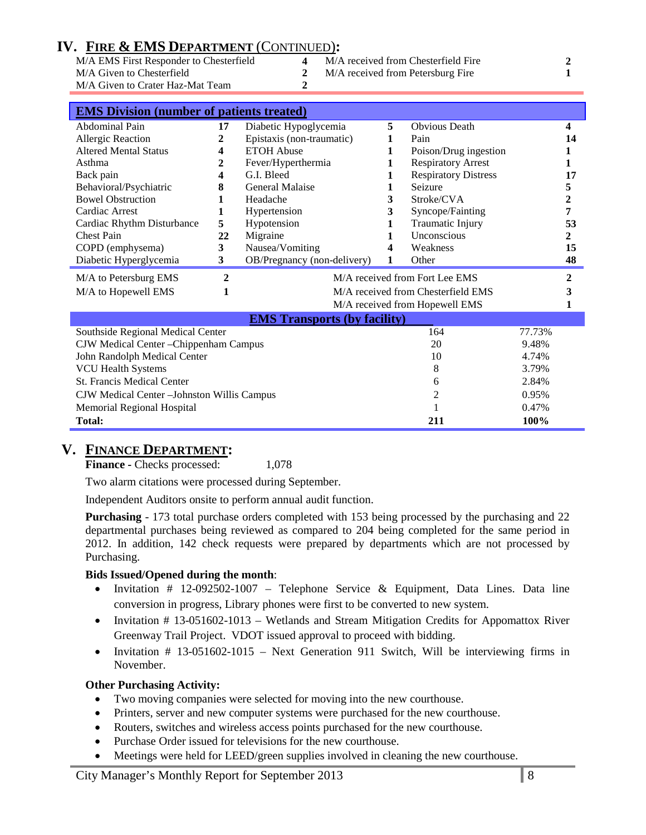# **IV. FIRE & EMS DEPARTMENT** (CONTINUED)**:**

| M/A EMS First Responder to Chesterfield |  |
|-----------------------------------------|--|
| M/A Given to Chesterfield               |  |
| M/A Given to Crater Haz-Mat Team        |  |

- M/A received from Chesterfield Fire **2**
- 2 M/A received from Petersburg Fire **1**

| <b>EMS Division (number of patients treated)</b> |              |                                    |       |                             |              |                |
|--------------------------------------------------|--------------|------------------------------------|-------|-----------------------------|--------------|----------------|
| Abdominal Pain                                   | 17           | Diabetic Hypoglycemia              |       | <b>Obvious Death</b>        |              | 4              |
| <b>Allergic Reaction</b>                         | 2            | Epistaxis (non-traumatic)          | 1     | Pain                        |              | 14             |
| <b>Altered Mental Status</b>                     | 4            | <b>ETOH Abuse</b>                  | 1     | Poison/Drug ingestion       |              |                |
| Asthma                                           | 2            | Fever/Hyperthermia                 |       | <b>Respiratory Arrest</b>   |              | 1              |
| Back pain                                        | 4            | G.I. Bleed                         |       | <b>Respiratory Distress</b> |              | 17             |
| Behavioral/Psychiatric                           | 8            | <b>General Malaise</b>             | 1     | Seizure                     |              | 5              |
| <b>Bowel Obstruction</b>                         | 1            | Headache                           | 3     | Stroke/CVA                  |              | $\overline{2}$ |
| Cardiac Arrest                                   | 1            | Hypertension                       | 3     | Syncope/Fainting            |              | 7              |
| Cardiac Rhythm Disturbance                       | 5            | Hypotension                        |       | Traumatic Injury            |              | 53             |
| <b>Chest Pain</b>                                | 22           | Migraine                           | 1     | Unconscious                 |              | 2              |
| COPD (emphysema)                                 | 3            | Nausea/Vomiting                    | 4     | Weakness                    |              | 15             |
| Diabetic Hyperglycemia                           | 3            | OB/Pregnancy (non-delivery)        | 1     | Other                       |              | 48             |
| M/A to Petersburg EMS                            | $\mathbf{2}$ | M/A received from Fort Lee EMS     |       |                             | $\mathbf{2}$ |                |
| M/A to Hopewell EMS                              | 1            | M/A received from Chesterfield EMS |       |                             |              | 3              |
|                                                  |              | M/A received from Hopewell EMS     |       |                             | 1            |                |
| <b>EMS Transports (by facility)</b>              |              |                                    |       |                             |              |                |
| Southside Regional Medical Center                |              |                                    |       | 164                         | 77.73%       |                |
| CJW Medical Center - Chippenham Campus           |              |                                    |       | 20                          | 9.48%        |                |
| John Randolph Medical Center                     |              |                                    |       | 10                          | 4.74%        |                |
| <b>VCU Health Systems</b>                        |              |                                    | 8     | 3.79%                       |              |                |
| <b>St. Francis Medical Center</b><br>6           |              |                                    |       | 2.84%                       |              |                |
| 2<br>CJW Medical Center - Johnston Willis Campus |              |                                    | 0.95% |                             |              |                |
| Memorial Regional Hospital                       |              |                                    |       |                             | 0.47%        |                |
| Total:                                           |              |                                    |       | 211                         | 100%         |                |

# **V. FINANCE DEPARTMENT:**

**Finance -** Checks processed: 1,078

Two alarm citations were processed during September.

Independent Auditors onsite to perform annual audit function.

**Purchasing** - 173 total purchase orders completed with 153 being processed by the purchasing and 22 departmental purchases being reviewed as compared to 204 being completed for the same period in 2012. In addition, 142 check requests were prepared by departments which are not processed by Purchasing.

#### **Bids Issued/Opened during the month**:

- Invitation  $#$  12-092502-1007 Telephone Service & Equipment, Data Lines. Data line conversion in progress, Library phones were first to be converted to new system.
- Invitation # 13-051602-1013 Wetlands and Stream Mitigation Credits for Appomattox River Greenway Trail Project. VDOT issued approval to proceed with bidding.
- Invitation # 13-051602-1015 Next Generation 911 Switch, Will be interviewing firms in November.

#### **Other Purchasing Activity:**

- Two moving companies were selected for moving into the new courthouse.
- Printers, server and new computer systems were purchased for the new courthouse.
- Routers, switches and wireless access points purchased for the new courthouse.
- Purchase Order issued for televisions for the new courthouse.
- Meetings were held for LEED/green supplies involved in cleaning the new courthouse.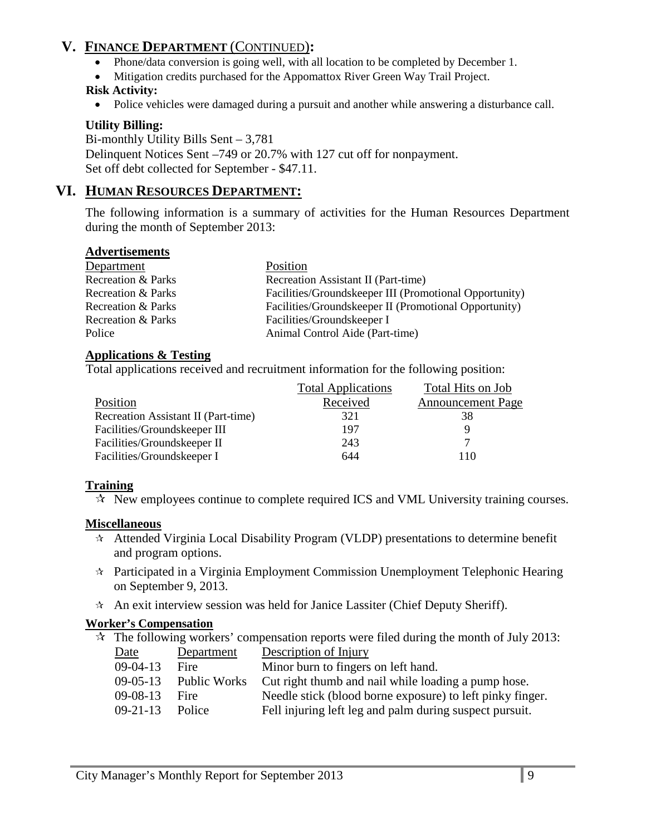# **V. FINANCE DEPARTMENT** (CONTINUED)**:**

- Phone/data conversion is going well, with all location to be completed by December 1.
- Mitigation credits purchased for the Appomattox River Green Way Trail Project.

## **Risk Activity:**

• Police vehicles were damaged during a pursuit and another while answering a disturbance call.

# **Utility Billing:**

Bi-monthly Utility Bills Sent – 3,781 Delinquent Notices Sent –749 or 20.7% with 127 cut off for nonpayment. Set off debt collected for September - \$47.11.

# **VI. HUMAN RESOURCES DEPARTMENT:**

The following information is a summary of activities for the Human Resources Department during the month of September 2013:

## **Advertisements**

| Department         | Position                                               |
|--------------------|--------------------------------------------------------|
| Recreation & Parks | Recreation Assistant II (Part-time)                    |
| Recreation & Parks | Facilities/Groundskeeper III (Promotional Opportunity) |
| Recreation & Parks | Facilities/Groundskeeper II (Promotional Opportunity)  |
| Recreation & Parks | Facilities/Groundskeeper I                             |
| Police             | Animal Control Aide (Part-time)                        |

## **Applications & Testing**

Total applications received and recruitment information for the following position:

|                                     | <b>Total Applications</b> | Total Hits on Job        |
|-------------------------------------|---------------------------|--------------------------|
| Position                            | Received                  | <b>Announcement Page</b> |
| Recreation Assistant II (Part-time) | 321                       | 38                       |
| Facilities/Groundskeeper III        | 197                       |                          |
| Facilities/Groundskeeper II         | 243                       | ⇁                        |
| Facilities/Groundskeeper I          | 644                       | 10                       |

## **Training**

 $\mathcal{R}$  New employees continue to complete required ICS and VML University training courses.

## **Miscellaneous**

- $\star$  Attended Virginia Local Disability Program (VLDP) presentations to determine benefit and program options.
- $\hat{\tau}$  Participated in a Virginia Employment Commission Unemployment Telephonic Hearing on September 9, 2013.
- $\hat{x}$  An exit interview session was held for Janice Lassiter (Chief Deputy Sheriff).

## **Worker's Compensation**

 $\approx$  The following workers' compensation reports were filed during the month of July 2013:

| Date           | Department   | Description of Injury                                     |
|----------------|--------------|-----------------------------------------------------------|
| $09-04-13$     | Fire         | Minor burn to fingers on left hand.                       |
| $09-05-13$     | Public Works | Cut right thumb and nail while loading a pump hose.       |
| $09-08-13$     | Fire         | Needle stick (blood borne exposure) to left pinky finger. |
| $09 - 21 - 13$ | Police       | Fell injuring left leg and palm during suspect pursuit.   |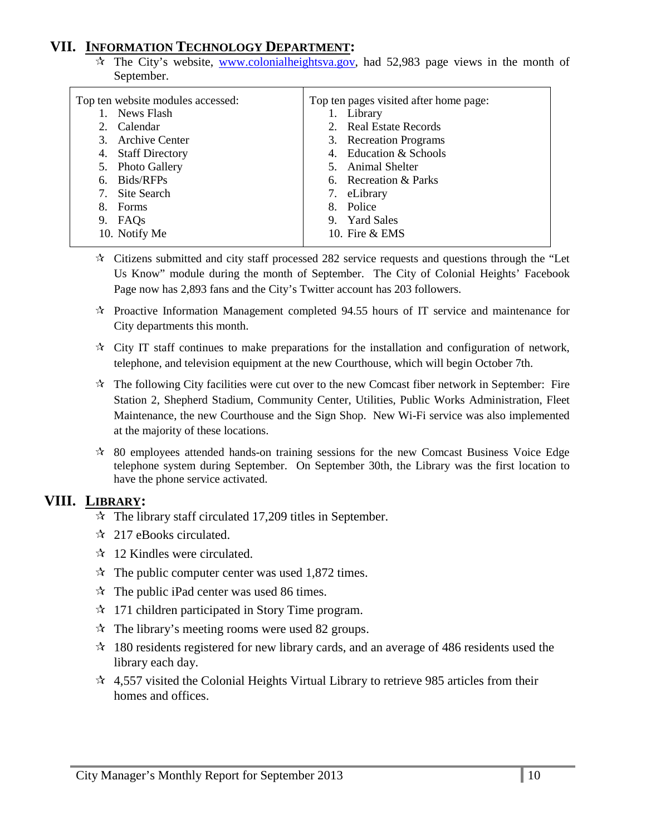# **VII. INFORMATION TECHNOLOGY DEPARTMENT:**

 $\hat{x}$  The City's website, [www.colonialheightsva.gov,](http://www.colonialheightsva.gov/) had 52,983 page views in the month of September.

| Top ten website modules accessed: | Top ten pages visited after home page: |
|-----------------------------------|----------------------------------------|
|                                   |                                        |
| News Flash                        | Library                                |
| Calendar                          | 2. Real Estate Records                 |
| Archive Center<br>3.              | 3. Recreation Programs                 |
| 4. Staff Directory                | 4. Education & Schools                 |
| 5. Photo Gallery                  | 5. Animal Shelter                      |
| Bids/RFPs<br>6.                   | 6. Recreation & Parks                  |
| Site Search<br>7.                 | 7. eLibrary                            |
| Forms<br>8.                       | Police<br>8.                           |
| FAQs<br>9.                        | <b>Yard Sales</b><br>9.                |
| 10. Notify Me                     | 10. Fire $&$ EMS                       |
|                                   |                                        |

- $\star$  Citizens submitted and city staff processed 282 service requests and questions through the "Let Us Know" module during the month of September. The City of Colonial Heights' Facebook Page now has 2,893 fans and the City's Twitter account has 203 followers.
- $\approx$  Proactive Information Management completed 94.55 hours of IT service and maintenance for City departments this month.
- $\forall$  City IT staff continues to make preparations for the installation and configuration of network, telephone, and television equipment at the new Courthouse, which will begin October 7th.
- $\hat{\mathbf{x}}$  The following City facilities were cut over to the new Comcast fiber network in September: Fire Station 2, Shepherd Stadium, Community Center, Utilities, Public Works Administration, Fleet Maintenance, the new Courthouse and the Sign Shop. New Wi-Fi service was also implemented at the majority of these locations.
- $\approx$  80 employees attended hands-on training sessions for the new Comcast Business Voice Edge telephone system during September. On September 30th, the Library was the first location to have the phone service activated.

## **VIII. LIBRARY:**

- $\approx$  The library staff circulated 17,209 titles in September.
- $\approx$  217 eBooks circulated.
- $\approx$  12 Kindles were circulated.
- $\approx$  The public computer center was used 1,872 times.
- $\hat{x}$  The public iPad center was used 86 times.
- $\approx$  171 children participated in Story Time program.
- $\approx$  The library's meeting rooms were used 82 groups.
- $\approx$  180 residents registered for new library cards, and an average of 486 residents used the library each day.
- $\approx$  4,557 visited the Colonial Heights Virtual Library to retrieve 985 articles from their homes and offices.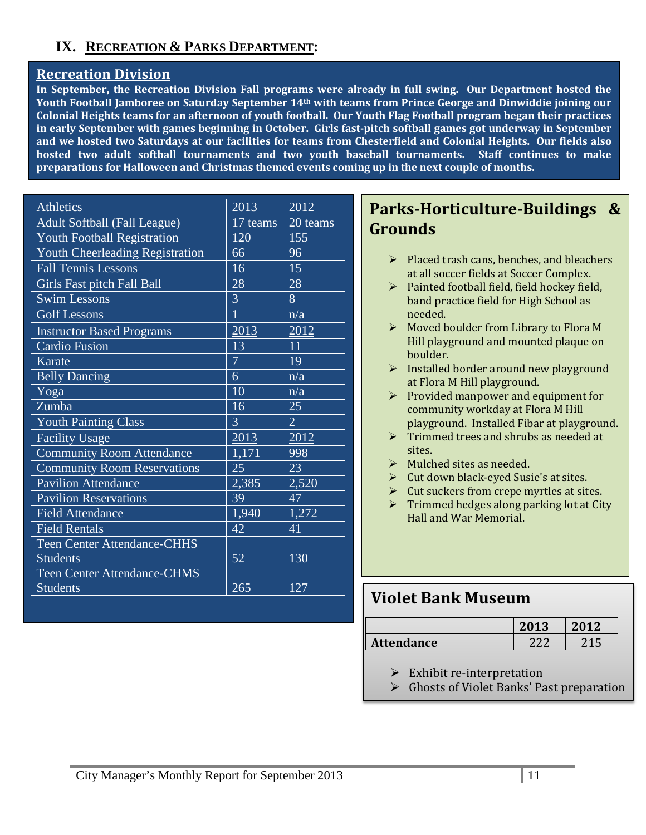# **IX. RECREATION & PARKS DEPARTMENT:**

# **Recreation Division**

**In September, the Recreation Division Fall programs were already in full swing. Our Department hosted the Youth Football Jamboree on Saturday September 14th with teams from Prince George and Dinwiddie joining our Colonial Heights teams for an afternoon of youth football. Our Youth Flag Football program began their practices in early September with games beginning in October. Girls fast-pitch softball games got underway in September and we hosted two Saturdays at our facilities for teams from Chesterfield and Colonial Heights. Our fields also hosted two adult softball tournaments and two youth baseball tournaments. Staff continues to make preparations for Halloween and Christmas themed events coming up in the next couple of months.**

| <b>Athletics</b>                   | 2013           | 2012             |
|------------------------------------|----------------|------------------|
| Adult Softball (Fall League)       | $17$ teams     | 20 teams         |
| Youth Football Registration        | 120            | 155              |
| Youth Cheerleading Registration    | 66             | 96               |
| <b>Fall Tennis Lessons</b>         | 16             | 15               |
| Girls Fast pitch Fall Ball         | 28             | 28               |
| <b>Swim Lessons</b>                | 3              | 8                |
| <b>Golf Lessons</b>                | 1              | n/a              |
| <b>Instructor Based Programs</b>   | 2013           | 2012             |
| <b>Cardio Fusion</b>               | 13             | 11               |
| Karate                             | $\overline{7}$ | 19               |
| <b>Belly Dancing</b>               | 6              | n/a              |
| Yoga                               | 10             | n/a              |
| Zumba                              | 16             | 25               |
| <b>Youth Painting Class</b>        | 3              | $\overline{2}$   |
| <b>Facility Usage</b>              | 2013           | 2012             |
| <b>Community Room Attendance</b>   | 1,171          | 998              |
| <b>Community Room Reservations</b> | 25             | 23               |
| <b>Pavilion Attendance</b>         | 2,385          | 2,520            |
| <b>Pavilion Reservations</b>       | 39             | 47               |
| <b>Field Attendance</b>            | 1,940          | 1,272            |
| <b>Field Rentals</b>               | 42             | 41               |
| <b>Teen Center Attendance-CHHS</b> |                |                  |
| <b>Students</b>                    | 52             | 130              |
| <b>Teen Center Attendance-CHMS</b> |                |                  |
| <b>Students</b>                    | 265            | $\overline{127}$ |

# **Parks-Horticulture-Buildings & Grounds**

- $\triangleright$  Placed trash cans, benches, and bleachers at all soccer fields at Soccer Complex.
- $\triangleright$  Painted football field, field hockey field, band practice field for High School as needed.
- $\triangleright$  Moved boulder from Library to Flora M Hill playground and mounted plaque on boulder.
- $\triangleright$  Installed border around new playground at Flora M Hill playground.
- $\triangleright$  Provided manpower and equipment for community workday at Flora M Hill playground. Installed Fibar at playground.
- $\triangleright$  Trimmed trees and shrubs as needed at sites.
- $\triangleright$  Mulched sites as needed.
- $\triangleright$  Cut down black-eyed Susie's at sites.
- $\triangleright$  Cut suckers from crepe myrtles at sites.
- $\triangleright$  Trimmed hedges along parking lot at City Hall and War Memorial.

# **Violet Bank Museum**

|            | 2013 |  |
|------------|------|--|
| Attendance |      |  |

 $\triangleright$  Exhibit re-interpretation

Ghosts of Violet Banks' Past preparation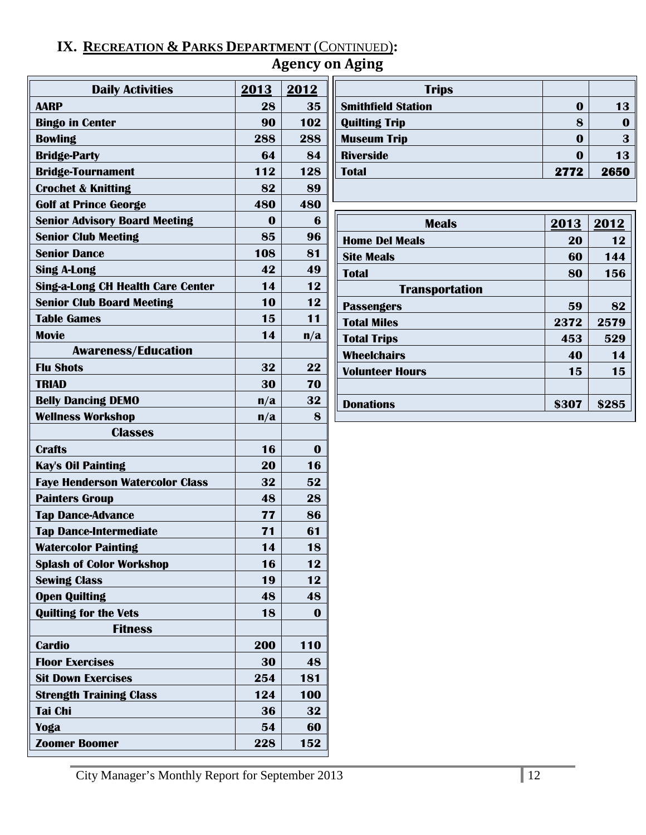# **IX. RECREATION & PARKS DEPARTMENT** (CONTINUED)**:**

# **Agency on Aging**

| <b>Daily Activities</b>                  | 2013     | 2012             | <b>Trips</b>              |          |          |
|------------------------------------------|----------|------------------|---------------------------|----------|----------|
| <b>AARP</b>                              | 28       | 35               | <b>Smithfield Station</b> | $\bf{0}$ | 13       |
| <b>Bingo in Center</b>                   | 90       | 102              | <b>Quilting Trip</b>      | 8        | $\bf{0}$ |
| <b>Bowling</b>                           | 288      | 288              | <b>Museum Trip</b>        | $\bf{0}$ | 3        |
| <b>Bridge-Party</b>                      | 64       | 84               | <b>Riverside</b>          | $\bf{0}$ | 13       |
| <b>Bridge-Tournament</b>                 | 112      | 128              | <b>Total</b>              | 2772     | 2650     |
| <b>Crochet &amp; Knitting</b>            | 82       | 89               |                           |          |          |
| <b>Golf at Prince George</b>             | 480      | 480              |                           |          |          |
| <b>Senior Advisory Board Meeting</b>     | $\bf{0}$ | $\boldsymbol{6}$ | <b>Meals</b>              | 2013     | 2012     |
| <b>Senior Club Meeting</b>               | 85       | 96               | <b>Home Del Meals</b>     | 20       | 12       |
| <b>Senior Dance</b>                      | 108      | 81               | <b>Site Meals</b>         | 60       | 144      |
| <b>Sing A-Long</b>                       | 42       | 49               | <b>Total</b>              | 80       | 156      |
| <b>Sing-a-Long CH Health Care Center</b> | 14       | 12               | <b>Transportation</b>     |          |          |
| <b>Senior Club Board Meeting</b>         | 10       | 12               | <b>Passengers</b>         | 59       | 82       |
| <b>Table Games</b>                       | 15       | 11               | <b>Total Miles</b>        | 2372     | 2579     |
| <b>Movie</b>                             | 14       | n/a              | <b>Total Trips</b>        | 453      | 529      |
| <b>Awareness/Education</b>               |          |                  | <b>Wheelchairs</b>        | 40       | 14       |
| <b>Flu Shots</b>                         | 32       | 22               | <b>Volunteer Hours</b>    | 15       | 15       |
| <b>TRIAD</b>                             | 30       | 70               |                           |          |          |
| <b>Belly Dancing DEMO</b>                | n/a      | 32               | <b>Donations</b>          | \$307    | \$285    |
| <b>Wellness Workshop</b>                 | n/a      | 8                |                           |          |          |
| <b>Classes</b>                           |          |                  |                           |          |          |
| <b>Crafts</b>                            | 16       | $\bf{0}$         |                           |          |          |
| <b>Kay's Oil Painting</b>                | 20       | 16               |                           |          |          |
| <b>Faye Henderson Watercolor Class</b>   | 32       | 52               |                           |          |          |
| <b>Painters Group</b>                    | 48       | 28               |                           |          |          |
| <b>Tap Dance-Advance</b>                 | 77       | 86               |                           |          |          |
| <b>Tap Dance-Intermediate</b>            | 71       | 61               |                           |          |          |
| <b>Watercolor Painting</b>               | 14       | 18               |                           |          |          |
| <b>Splash of Color Workshop</b>          | 16       | 12               |                           |          |          |
| <b>Sewing Class</b>                      | 19       | 12               |                           |          |          |
| <b>Open Quilting</b>                     | 48       | 48               |                           |          |          |
| <b>Quilting for the Vets</b>             | 18       | $\bf{0}$         |                           |          |          |
| <b>Fitness</b>                           |          |                  |                           |          |          |
| <b>Cardio</b>                            | 200      | 110              |                           |          |          |
| <b>Floor Exercises</b>                   | 30       | 48               |                           |          |          |
| <b>Sit Down Exercises</b>                | 254      | 181              |                           |          |          |
| <b>Strength Training Class</b>           | 124      | 100              |                           |          |          |
| <b>Tai Chi</b>                           | 36       | 32               |                           |          |          |
| Yoga                                     | 54       | 60               |                           |          |          |
| <b>Zoomer Boomer</b>                     | 228      | 152              |                           |          |          |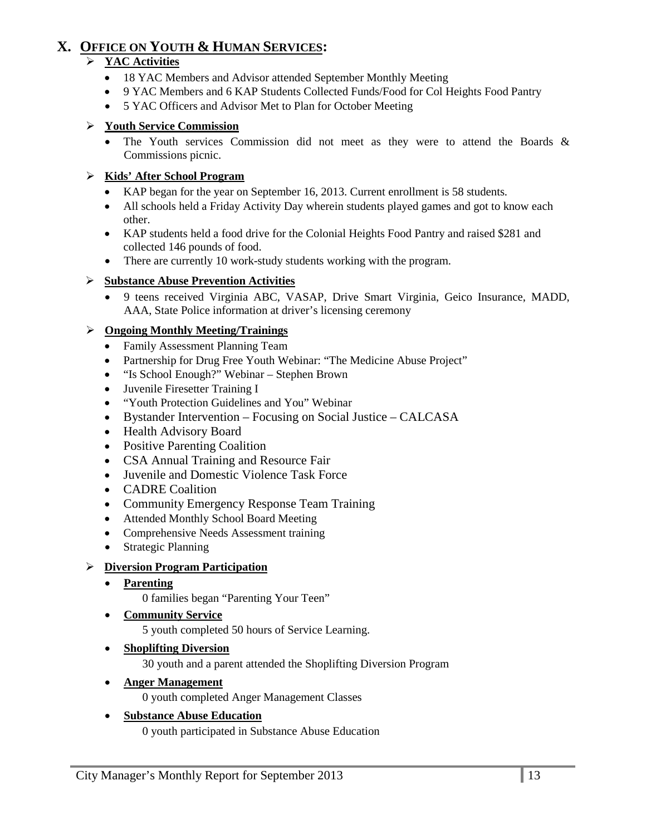# **X. OFFICE ON YOUTH & HUMAN SERVICES:**

# **YAC Activities**

- 18 YAC Members and Advisor attended September Monthly Meeting
- 9 YAC Members and 6 KAP Students Collected Funds/Food for Col Heights Food Pantry
- 5 YAC Officers and Advisor Met to Plan for October Meeting

#### **Youth Service Commission**

• The Youth services Commission did not meet as they were to attend the Boards & Commissions picnic.

#### **Kids' After School Program**

- KAP began for the year on September 16, 2013. Current enrollment is 58 students.
- All schools held a Friday Activity Day wherein students played games and got to know each other.
- KAP students held a food drive for the Colonial Heights Food Pantry and raised \$281 and collected 146 pounds of food.
- There are currently 10 work-study students working with the program.

#### **Substance Abuse Prevention Activities**

• 9 teens received Virginia ABC, VASAP, Drive Smart Virginia, Geico Insurance, MADD, AAA, State Police information at driver's licensing ceremony

#### **Ongoing Monthly Meeting/Trainings**

- Family Assessment Planning Team
- Partnership for Drug Free Youth Webinar: "The Medicine Abuse Project"
- "Is School Enough?" Webinar Stephen Brown
- Juvenile Firesetter Training I
- "Youth Protection Guidelines and You" Webinar
- Bystander Intervention Focusing on Social Justice CALCASA
- Health Advisory Board
- Positive Parenting Coalition
- CSA Annual Training and Resource Fair
- Juvenile and Domestic Violence Task Force
- CADRE Coalition
- Community Emergency Response Team Training
- Attended Monthly School Board Meeting
- Comprehensive Needs Assessment training
- Strategic Planning

#### **Diversion Program Participation**

• **Parenting**

0 families began "Parenting Your Teen"

• **Community Service**

5 youth completed 50 hours of Service Learning.

• **Shoplifting Diversion**

30 youth and a parent attended the Shoplifting Diversion Program

• **Anger Management**

0 youth completed Anger Management Classes

#### • **Substance Abuse Education**

0 youth participated in Substance Abuse Education